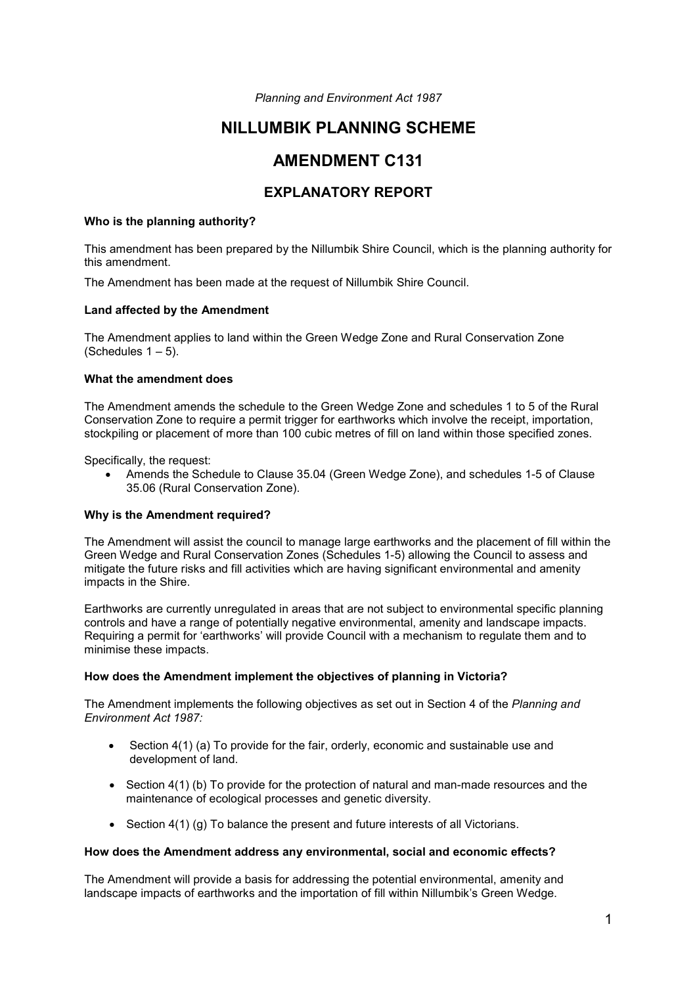*Planning and Environment Act 1987*

# **NILLUMBIK PLANNING SCHEME**

# **AMENDMENT C131**

# **EXPLANATORY REPORT**

## **Who is the planning authority?**

This amendment has been prepared by the Nillumbik Shire Council, which is the planning authority for this amendment.

The Amendment has been made at the request of Nillumbik Shire Council.

## **Land affected by the Amendment**

The Amendment applies to land within the Green Wedge Zone and Rural Conservation Zone (Schedules  $1 - 5$ ).

## **What the amendment does**

The Amendment amends the schedule to the Green Wedge Zone and schedules 1 to 5 of the Rural Conservation Zone to require a permit trigger for earthworks which involve the receipt, importation, stockpiling or placement of more than 100 cubic metres of fill on land within those specified zones.

Specifically, the request:

• Amends the Schedule to Clause 35.04 (Green Wedge Zone), and schedules 1-5 of Clause 35.06 (Rural Conservation Zone).

# **Why is the Amendment required?**

The Amendment will assist the council to manage large earthworks and the placement of fill within the Green Wedge and Rural Conservation Zones (Schedules 1-5) allowing the Council to assess and mitigate the future risks and fill activities which are having significant environmental and amenity impacts in the Shire.

Earthworks are currently unregulated in areas that are not subject to environmental specific planning controls and have a range of potentially negative environmental, amenity and landscape impacts. Requiring a permit for 'earthworks' will provide Council with a mechanism to regulate them and to minimise these impacts.

# **How does the Amendment implement the objectives of planning in Victoria?**

The Amendment implements the following objectives as set out in Section 4 of the *Planning and Environment Act 1987:* 

- Section 4(1) (a) To provide for the fair, orderly, economic and sustainable use and development of land.
- Section 4(1) (b) To provide for the protection of natural and man-made resources and the maintenance of ecological processes and genetic diversity.
- Section 4(1) (g) To balance the present and future interests of all Victorians.

### **How does the Amendment address any environmental, social and economic effects?**

The Amendment will provide a basis for addressing the potential environmental, amenity and landscape impacts of earthworks and the importation of fill within Nillumbik's Green Wedge.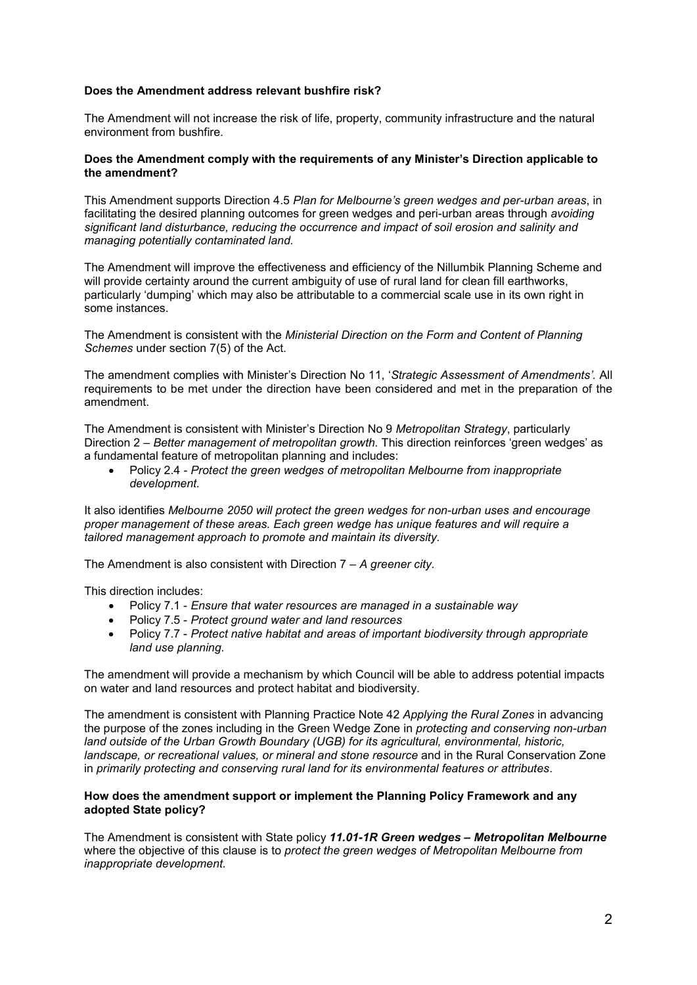# **Does the Amendment address relevant bushfire risk?**

The Amendment will not increase the risk of life, property, community infrastructure and the natural environment from bushfire.

#### **Does the Amendment comply with the requirements of any Minister's Direction applicable to the amendment?**

This Amendment supports Direction 4.5 *Plan for Melbourne's green wedges and per-urban areas*, in facilitating the desired planning outcomes for green wedges and peri-urban areas through *avoiding significant land disturbance, reducing the occurrence and impact of soil erosion and salinity and managing potentially contaminated land.*

The Amendment will improve the effectiveness and efficiency of the Nillumbik Planning Scheme and will provide certainty around the current ambiguity of use of rural land for clean fill earthworks, particularly 'dumping' which may also be attributable to a commercial scale use in its own right in some instances.

The Amendment is consistent with the *Ministerial Direction on the Form and Content of Planning Schemes* under section 7(5) of the Act.

The amendment complies with Minister's Direction No 11, '*Strategic Assessment of Amendments'.* All requirements to be met under the direction have been considered and met in the preparation of the amendment.

The Amendment is consistent with Minister's Direction No 9 *Metropolitan Strategy*, particularly Direction 2 *– Better management of metropolitan growth.* This direction reinforces 'green wedges' as a fundamental feature of metropolitan planning and includes:

• Policy 2.4 *- Protect the green wedges of metropolitan Melbourne from inappropriate development.*

It also identifies *Melbourne 2050 will protect the green wedges for non-urban uses and encourage proper management of these areas. Each green wedge has unique features and will require a tailored management approach to promote and maintain its diversity.*

The Amendment is also consistent with Direction 7 *– A greener city.*

This direction includes:

- Policy 7.1 *Ensure that water resources are managed in a sustainable way*
- Policy 7.5 *Protect ground water and land resources*
- Policy 7.7 *Protect native habitat and areas of important biodiversity through appropriate land use planning.*

The amendment will provide a mechanism by which Council will be able to address potential impacts on water and land resources and protect habitat and biodiversity.

The amendment is consistent with Planning Practice Note 42 *Applying the Rural Zones* in advancing the purpose of the zones including in the Green Wedge Zone in *protecting and conserving non-urban land outside of the Urban Growth Boundary (UGB) for its agricultural, environmental, historic, landscape, or recreational values, or mineral and stone resource* and in the Rural Conservation Zone in *primarily protecting and conserving rural land for its environmental features or attributes*.

## **How does the amendment support or implement the Planning Policy Framework and any adopted State policy?**

The Amendment is consistent with State policy *11.01-1R Green wedges – Metropolitan Melbourne*  where the objective of this clause is to *protect the green wedges of Metropolitan Melbourne from inappropriate development.*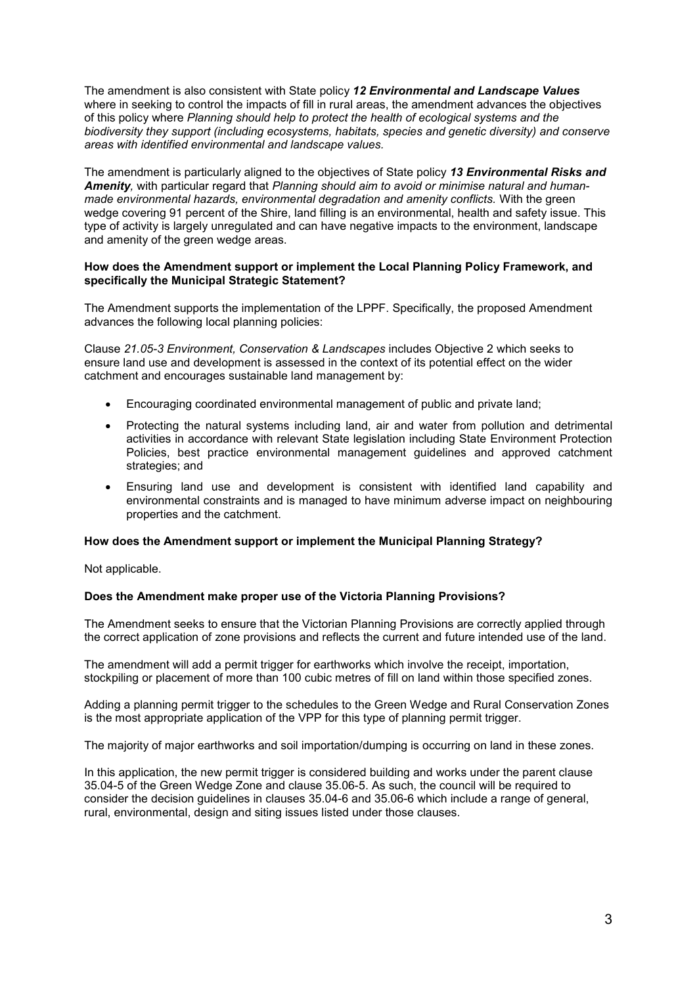The amendment is also consistent with State policy *12 Environmental and Landscape Values* where in seeking to control the impacts of fill in rural areas, the amendment advances the objectives of this policy where *Planning should help to protect the health of ecological systems and the biodiversity they support (including ecosystems, habitats, species and genetic diversity) and conserve areas with identified environmental and landscape values.*

The amendment is particularly aligned to the objectives of State policy *13 Environmental Risks and Amenity,* with particular regard that *Planning should aim to avoid or minimise natural and humanmade environmental hazards, environmental degradation and amenity conflicts.* With the green wedge covering 91 percent of the Shire, land filling is an environmental, health and safety issue. This type of activity is largely unregulated and can have negative impacts to the environment, landscape and amenity of the green wedge areas.

## **How does the Amendment support or implement the Local Planning Policy Framework, and specifically the Municipal Strategic Statement?**

The Amendment supports the implementation of the LPPF. Specifically, the proposed Amendment advances the following local planning policies:

Clause *21.05-3 Environment, Conservation & Landscapes* includes Objective 2 which seeks to ensure land use and development is assessed in the context of its potential effect on the wider catchment and encourages sustainable land management by:

- Encouraging coordinated environmental management of public and private land;
- Protecting the natural systems including land, air and water from pollution and detrimental activities in accordance with relevant State legislation including State Environment Protection Policies, best practice environmental management guidelines and approved catchment strategies; and
- Ensuring land use and development is consistent with identified land capability and environmental constraints and is managed to have minimum adverse impact on neighbouring properties and the catchment.

#### **How does the Amendment support or implement the Municipal Planning Strategy?**

Not applicable.

#### **Does the Amendment make proper use of the Victoria Planning Provisions?**

The Amendment seeks to ensure that the Victorian Planning Provisions are correctly applied through the correct application of zone provisions and reflects the current and future intended use of the land.

The amendment will add a permit trigger for earthworks which involve the receipt, importation, stockpiling or placement of more than 100 cubic metres of fill on land within those specified zones.

Adding a planning permit trigger to the schedules to the Green Wedge and Rural Conservation Zones is the most appropriate application of the VPP for this type of planning permit trigger.

The majority of major earthworks and soil importation/dumping is occurring on land in these zones.

In this application, the new permit trigger is considered building and works under the parent clause 35.04-5 of the Green Wedge Zone and clause 35.06-5. As such, the council will be required to consider the decision guidelines in clauses 35.04-6 and 35.06-6 which include a range of general, rural, environmental, design and siting issues listed under those clauses.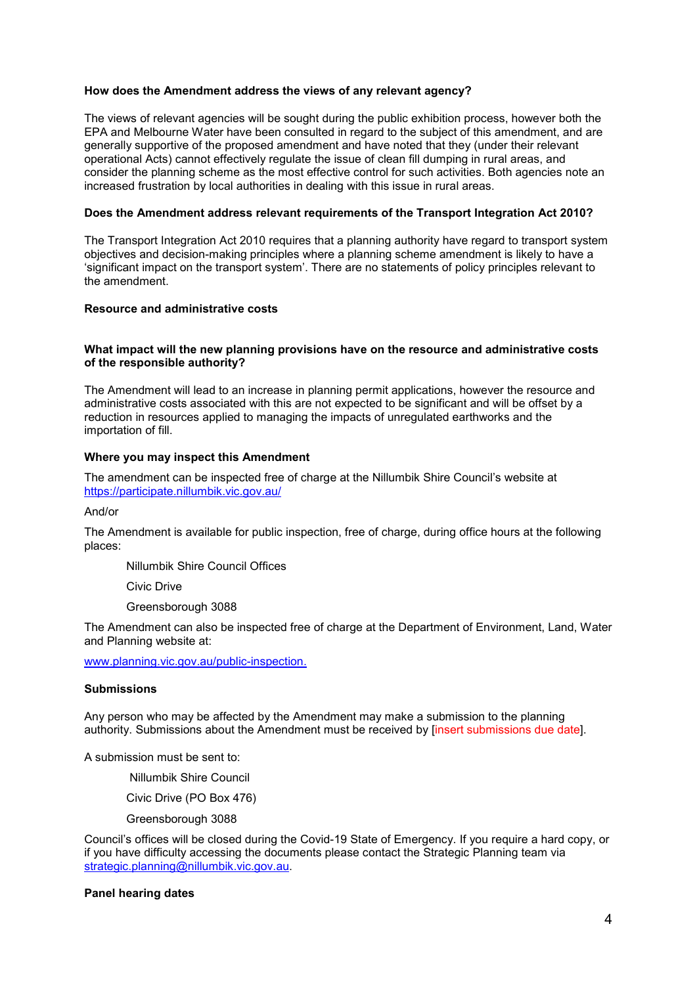## **How does the Amendment address the views of any relevant agency?**

The views of relevant agencies will be sought during the public exhibition process, however both the EPA and Melbourne Water have been consulted in regard to the subject of this amendment, and are generally supportive of the proposed amendment and have noted that they (under their relevant operational Acts) cannot effectively regulate the issue of clean fill dumping in rural areas, and consider the planning scheme as the most effective control for such activities. Both agencies note an increased frustration by local authorities in dealing with this issue in rural areas.

#### **Does the Amendment address relevant requirements of the Transport Integration Act 2010?**

The Transport Integration Act 2010 requires that a planning authority have regard to transport system objectives and decision-making principles where a planning scheme amendment is likely to have a 'significant impact on the transport system'. There are no statements of policy principles relevant to the amendment.

#### **Resource and administrative costs**

#### **What impact will the new planning provisions have on the resource and administrative costs of the responsible authority?**

The Amendment will lead to an increase in planning permit applications, however the resource and administrative costs associated with this are not expected to be significant and will be offset by a reduction in resources applied to managing the impacts of unregulated earthworks and the importation of fill.

#### **Where you may inspect this Amendment**

The amendment can be inspected free of charge at the Nillumbik Shire Council's website at <https://participate.nillumbik.vic.gov.au/>

And/or

The Amendment is available for public inspection, free of charge, during office hours at the following places:

Nillumbik Shire Council Offices

Civic Drive

Greensborough 3088

The Amendment can also be inspected free of charge at the Department of Environment, Land, Water and Planning website at:

[www.planning.vic.gov.au/public-inspection.](http://www.planning.vic.gov.au/public-inspection.)

# **Submissions**

Any person who may be affected by the Amendment may make a submission to the planning authority. Submissions about the Amendment must be received by [insert submissions due date].

A submission must be sent to:

Nillumbik Shire Council

Civic Drive (PO Box 476)

Greensborough 3088

Council's offices will be closed during the Covid-19 State of Emergency. If you require a hard copy, or if you have difficulty accessing the documents please contact the Strategic Planning team via [strategic.planning@nillumbik.vic.gov.au.](mailto:strategic.planning@nillumbik.vic.gov.au)

#### **Panel hearing dates**